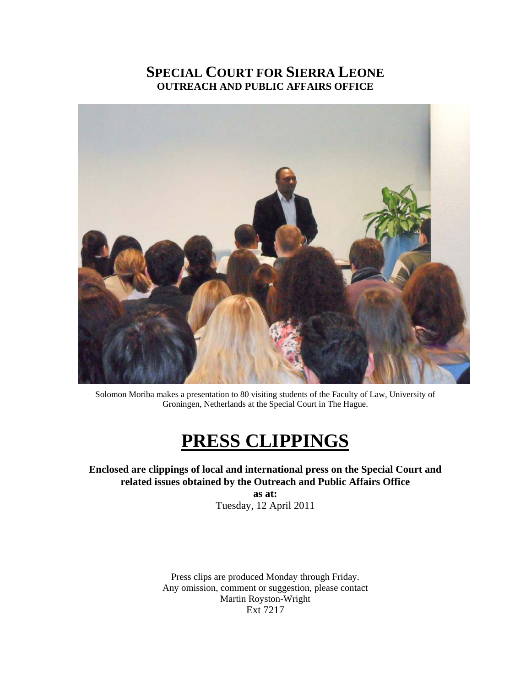# **SPECIAL COURT FOR SIERRA LEONE OUTREACH AND PUBLIC AFFAIRS OFFICE**



Solomon Moriba makes a presentation to 80 visiting students of the Faculty of Law, University of Groningen, Netherlands at the Special Court in The Hague.

# **PRESS CLIPPINGS**

**Enclosed are clippings of local and international press on the Special Court and related issues obtained by the Outreach and Public Affairs Office** 

**as at:**  Tuesday, 12 April 2011

Press clips are produced Monday through Friday. Any omission, comment or suggestion, please contact Martin Royston-Wright Ext 7217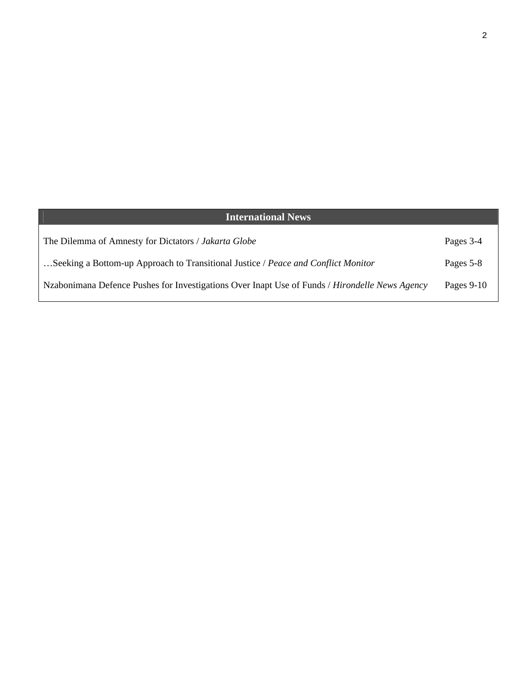| <b>International News</b>                                                                      |              |
|------------------------------------------------------------------------------------------------|--------------|
| The Dilemma of Amnesty for Dictators / Jakarta Globe                                           | Pages 3-4    |
| Seeking a Bottom-up Approach to Transitional Justice / Peace and Conflict Monitor              | Pages 5-8    |
| Nzabonimana Defence Pushes for Investigations Over Inapt Use of Funds / Hirondelle News Agency | Pages $9-10$ |

2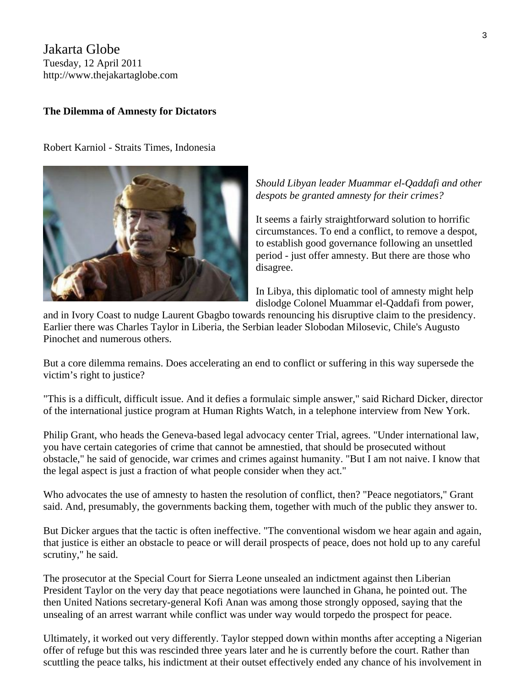Jakarta Globe Tuesday, 12 April 2011 http://www.thejakartaglobe.com

## **The Dilemma of Amnesty for Dictators**

Robert Karniol - Straits Times, Indonesia



*Should Libyan leader Muammar el-Qaddafi and other despots be granted amnesty for their crimes?* 

It seems a fairly straightforward solution to horrific circumstances. To end a conflict, to remove a despot, to establish good governance following an unsettled period - just offer amnesty. But there are those who disagree.

In Libya, this diplomatic tool of amnesty might help dislodge Colonel Muammar el-Qaddafi from power,

and in Ivory Coast to nudge Laurent Gbagbo towards renouncing his disruptive claim to the presidency. Earlier there was Charles Taylor in Liberia, the Serbian leader Slobodan Milosevic, Chile's Augusto Pinochet and numerous others.

But a core dilemma remains. Does accelerating an end to conflict or suffering in this way supersede the victim's right to justice?

"This is a difficult, difficult issue. And it defies a formulaic simple answer," said Richard Dicker, director of the international justice program at Human Rights Watch, in a telephone interview from New York.

Philip Grant, who heads the Geneva-based legal advocacy center Trial, agrees. "Under international law, you have certain categories of crime that cannot be amnestied, that should be prosecuted without obstacle," he said of genocide, war crimes and crimes against humanity. "But I am not naive. I know that the legal aspect is just a fraction of what people consider when they act."

Who advocates the use of amnesty to hasten the resolution of conflict, then? "Peace negotiators," Grant said. And, presumably, the governments backing them, together with much of the public they answer to.

But Dicker argues that the tactic is often ineffective. "The conventional wisdom we hear again and again, that justice is either an obstacle to peace or will derail prospects of peace, does not hold up to any careful scrutiny," he said.

The prosecutor at the Special Court for Sierra Leone unsealed an indictment against then Liberian President Taylor on the very day that peace negotiations were launched in Ghana, he pointed out. The then United Nations secretary-general Kofi Anan was among those strongly opposed, saying that the unsealing of an arrest warrant while conflict was under way would torpedo the prospect for peace.

Ultimately, it worked out very differently. Taylor stepped down within months after accepting a Nigerian offer of refuge but this was rescinded three years later and he is currently before the court. Rather than scuttling the peace talks, his indictment at their outset effectively ended any chance of his involvement in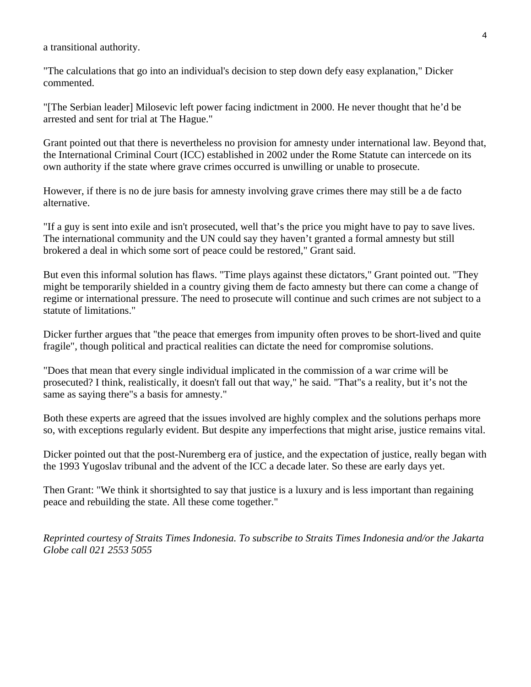a transitional authority.

"The calculations that go into an individual's decision to step down defy easy explanation," Dicker commented.

"[The Serbian leader] Milosevic left power facing indictment in 2000. He never thought that he'd be arrested and sent for trial at The Hague."

Grant pointed out that there is nevertheless no provision for amnesty under international law. Beyond that, the International Criminal Court (ICC) established in 2002 under the Rome Statute can intercede on its own authority if the state where grave crimes occurred is unwilling or unable to prosecute.

However, if there is no de jure basis for amnesty involving grave crimes there may still be a de facto alternative.

"If a guy is sent into exile and isn't prosecuted, well that's the price you might have to pay to save lives. The international community and the UN could say they haven't granted a formal amnesty but still brokered a deal in which some sort of peace could be restored," Grant said.

But even this informal solution has flaws. "Time plays against these dictators," Grant pointed out. "They might be temporarily shielded in a country giving them de facto amnesty but there can come a change of regime or international pressure. The need to prosecute will continue and such crimes are not subject to a statute of limitations."

Dicker further argues that "the peace that emerges from impunity often proves to be short-lived and quite fragile", though political and practical realities can dictate the need for compromise solutions.

"Does that mean that every single individual implicated in the commission of a war crime will be prosecuted? I think, realistically, it doesn't fall out that way," he said. "That"s a reality, but it's not the same as saying there"s a basis for amnesty."

Both these experts are agreed that the issues involved are highly complex and the solutions perhaps more so, with exceptions regularly evident. But despite any imperfections that might arise, justice remains vital.

Dicker pointed out that the post-Nuremberg era of justice, and the expectation of justice, really began with the 1993 Yugoslav tribunal and the advent of the ICC a decade later. So these are early days yet.

Then Grant: "We think it shortsighted to say that justice is a luxury and is less important than regaining peace and rebuilding the state. All these come together."

*Reprinted courtesy of Straits Times Indonesia. To subscribe to Straits Times Indonesia and/or the Jakarta Globe call 021 2553 5055*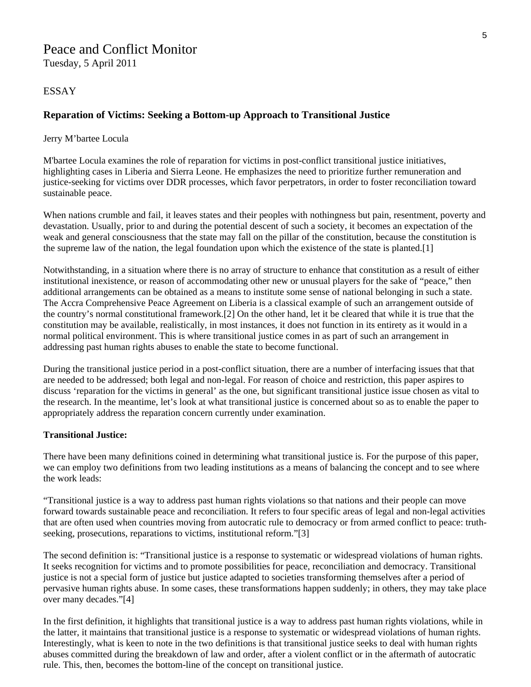# Peace and Conflict Monitor

Tuesday, 5 April 2011

## ESSAY

#### **Reparation of Victims: Seeking a Bottom-up Approach to Transitional Justice**

#### Jerry M'bartee Locula

M'bartee Locula examines the role of reparation for victims in post-conflict transitional justice initiatives, highlighting cases in Liberia and Sierra Leone. He emphasizes the need to prioritize further remuneration and justice-seeking for victims over DDR processes, which favor perpetrators, in order to foster reconciliation toward sustainable peace.

When nations crumble and fail, it leaves states and their peoples with nothingness but pain, resentment, poverty and devastation. Usually, prior to and during the potential descent of such a society, it becomes an expectation of the weak and general consciousness that the state may fall on the pillar of the constitution, because the constitution is the supreme law of the nation, the legal foundation upon which the existence of the state is planted.[1]

Notwithstanding, in a situation where there is no array of structure to enhance that constitution as a result of either institutional inexistence, or reason of accommodating other new or unusual players for the sake of "peace," then additional arrangements can be obtained as a means to institute some sense of national belonging in such a state. The Accra Comprehensive Peace Agreement on Liberia is a classical example of such an arrangement outside of the country's normal constitutional framework.[2] On the other hand, let it be cleared that while it is true that the constitution may be available, realistically, in most instances, it does not function in its entirety as it would in a normal political environment. This is where transitional justice comes in as part of such an arrangement in addressing past human rights abuses to enable the state to become functional.

During the transitional justice period in a post-conflict situation, there are a number of interfacing issues that that are needed to be addressed; both legal and non-legal. For reason of choice and restriction, this paper aspires to discuss 'reparation for the victims in general' as the one, but significant transitional justice issue chosen as vital to the research. In the meantime, let's look at what transitional justice is concerned about so as to enable the paper to appropriately address the reparation concern currently under examination.

#### **Transitional Justice:**

There have been many definitions coined in determining what transitional justice is. For the purpose of this paper, we can employ two definitions from two leading institutions as a means of balancing the concept and to see where the work leads:

"Transitional justice is a way to address past human rights violations so that nations and their people can move forward towards sustainable peace and reconciliation. It refers to four specific areas of legal and non-legal activities that are often used when countries moving from autocratic rule to democracy or from armed conflict to peace: truthseeking, prosecutions, reparations to victims, institutional reform."[3]

The second definition is: "Transitional justice is a response to systematic or widespread violations of human rights. It seeks recognition for victims and to promote possibilities for peace, reconciliation and democracy. Transitional justice is not a special form of justice but justice adapted to societies transforming themselves after a period of pervasive human rights abuse. In some cases, these transformations happen suddenly; in others, they may take place over many decades."[4]

In the first definition, it highlights that transitional justice is a way to address past human rights violations, while in the latter, it maintains that transitional justice is a response to systematic or widespread violations of human rights. Interestingly, what is keen to note in the two definitions is that transitional justice seeks to deal with human rights abuses committed during the breakdown of law and order, after a violent conflict or in the aftermath of autocratic rule. This, then, becomes the bottom-line of the concept on transitional justice.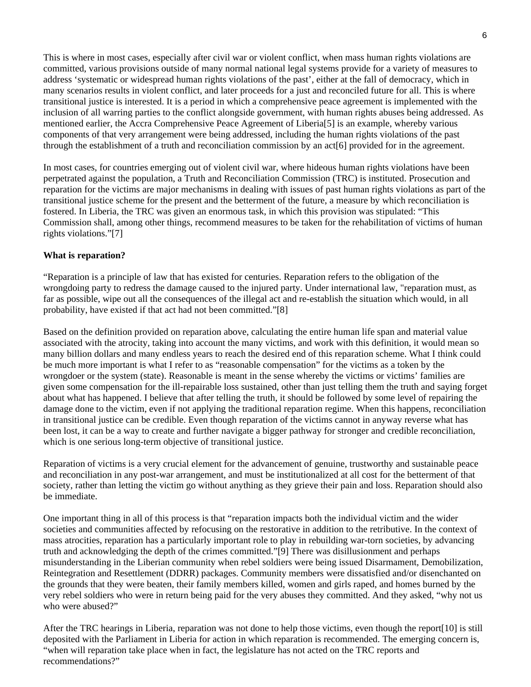This is where in most cases, especially after civil war or violent conflict, when mass human rights violations are committed, various provisions outside of many normal national legal systems provide for a variety of measures to address 'systematic or widespread human rights violations of the past', either at the fall of democracy, which in many scenarios results in violent conflict, and later proceeds for a just and reconciled future for all. This is where transitional justice is interested. It is a period in which a comprehensive peace agreement is implemented with the inclusion of all warring parties to the conflict alongside government, with human rights abuses being addressed. As mentioned earlier, the Accra Comprehensive Peace Agreement of Liberia[5] is an example, whereby various components of that very arrangement were being addressed, including the human rights violations of the past through the establishment of a truth and reconciliation commission by an act[6] provided for in the agreement.

In most cases, for countries emerging out of violent civil war, where hideous human rights violations have been perpetrated against the population, a Truth and Reconciliation Commission (TRC) is instituted. Prosecution and reparation for the victims are major mechanisms in dealing with issues of past human rights violations as part of the transitional justice scheme for the present and the betterment of the future, a measure by which reconciliation is fostered. In Liberia, the TRC was given an enormous task, in which this provision was stipulated: "This Commission shall, among other things, recommend measures to be taken for the rehabilitation of victims of human rights violations."[7]

#### **What is reparation?**

"Reparation is a principle of law that has existed for centuries. Reparation refers to the obligation of the wrongdoing party to redress the damage caused to the injured party. Under international law, "reparation must, as far as possible, wipe out all the consequences of the illegal act and re-establish the situation which would, in all probability, have existed if that act had not been committed."[8]

Based on the definition provided on reparation above, calculating the entire human life span and material value associated with the atrocity, taking into account the many victims, and work with this definition, it would mean so many billion dollars and many endless years to reach the desired end of this reparation scheme. What I think could be much more important is what I refer to as "reasonable compensation" for the victims as a token by the wrongdoer or the system (state). Reasonable is meant in the sense whereby the victims or victims' families are given some compensation for the ill-repairable loss sustained, other than just telling them the truth and saying forget about what has happened. I believe that after telling the truth, it should be followed by some level of repairing the damage done to the victim, even if not applying the traditional reparation regime. When this happens, reconciliation in transitional justice can be credible. Even though reparation of the victims cannot in anyway reverse what has been lost, it can be a way to create and further navigate a bigger pathway for stronger and credible reconciliation, which is one serious long-term objective of transitional justice.

Reparation of victims is a very crucial element for the advancement of genuine, trustworthy and sustainable peace and reconciliation in any post-war arrangement, and must be institutionalized at all cost for the betterment of that society, rather than letting the victim go without anything as they grieve their pain and loss. Reparation should also be immediate.

One important thing in all of this process is that "reparation impacts both the individual victim and the wider societies and communities affected by refocusing on the restorative in addition to the retributive. In the context of mass atrocities, reparation has a particularly important role to play in rebuilding war-torn societies, by advancing truth and acknowledging the depth of the crimes committed."[9] There was disillusionment and perhaps misunderstanding in the Liberian community when rebel soldiers were being issued Disarmament, Demobilization, Reintegration and Resettlement (DDRR) packages. Community members were dissatisfied and/or disenchanted on the grounds that they were beaten, their family members killed, women and girls raped, and homes burned by the very rebel soldiers who were in return being paid for the very abuses they committed. And they asked, "why not us who were abused?"

After the TRC hearings in Liberia, reparation was not done to help those victims, even though the report[10] is still deposited with the Parliament in Liberia for action in which reparation is recommended. The emerging concern is, "when will reparation take place when in fact, the legislature has not acted on the TRC reports and recommendations?"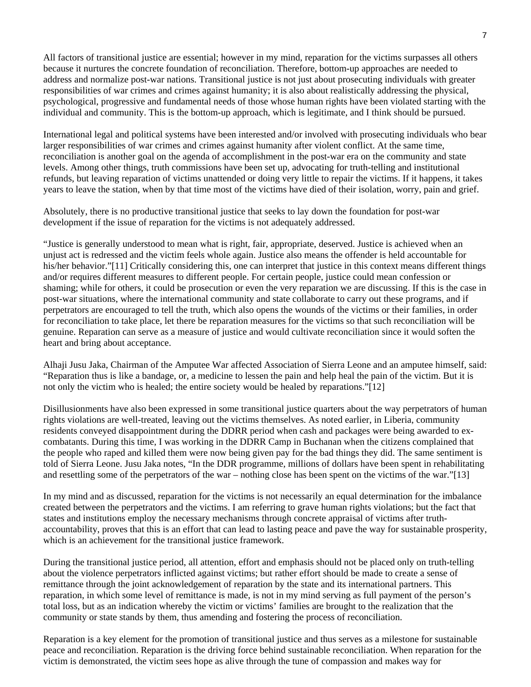All factors of transitional justice are essential; however in my mind, reparation for the victims surpasses all others because it nurtures the concrete foundation of reconciliation. Therefore, bottom-up approaches are needed to address and normalize post-war nations. Transitional justice is not just about prosecuting individuals with greater responsibilities of war crimes and crimes against humanity; it is also about realistically addressing the physical, psychological, progressive and fundamental needs of those whose human rights have been violated starting with the individual and community. This is the bottom-up approach, which is legitimate, and I think should be pursued.

International legal and political systems have been interested and/or involved with prosecuting individuals who bear larger responsibilities of war crimes and crimes against humanity after violent conflict. At the same time, reconciliation is another goal on the agenda of accomplishment in the post-war era on the community and state levels. Among other things, truth commissions have been set up, advocating for truth-telling and institutional refunds, but leaving reparation of victims unattended or doing very little to repair the victims. If it happens, it takes years to leave the station, when by that time most of the victims have died of their isolation, worry, pain and grief.

Absolutely, there is no productive transitional justice that seeks to lay down the foundation for post-war development if the issue of reparation for the victims is not adequately addressed.

"Justice is generally understood to mean what is right, fair, appropriate, deserved. Justice is achieved when an unjust act is redressed and the victim feels whole again. Justice also means the offender is held accountable for his/her behavior."[11] Critically considering this, one can interpret that justice in this context means different things and/or requires different measures to different people. For certain people, justice could mean confession or shaming; while for others, it could be prosecution or even the very reparation we are discussing. If this is the case in post-war situations, where the international community and state collaborate to carry out these programs, and if perpetrators are encouraged to tell the truth, which also opens the wounds of the victims or their families, in order for reconciliation to take place, let there be reparation measures for the victims so that such reconciliation will be genuine. Reparation can serve as a measure of justice and would cultivate reconciliation since it would soften the heart and bring about acceptance.

Alhaji Jusu Jaka, Chairman of the Amputee War affected Association of Sierra Leone and an amputee himself, said: "Reparation thus is like a bandage, or, a medicine to lessen the pain and help heal the pain of the victim. But it is not only the victim who is healed; the entire society would be healed by reparations."[12]

Disillusionments have also been expressed in some transitional justice quarters about the way perpetrators of human rights violations are well-treated, leaving out the victims themselves. As noted earlier, in Liberia, community residents conveyed disappointment during the DDRR period when cash and packages were being awarded to excombatants. During this time, I was working in the DDRR Camp in Buchanan when the citizens complained that the people who raped and killed them were now being given pay for the bad things they did. The same sentiment is told of Sierra Leone. Jusu Jaka notes, "In the DDR programme, millions of dollars have been spent in rehabilitating and resettling some of the perpetrators of the war – nothing close has been spent on the victims of the war."[13]

In my mind and as discussed, reparation for the victims is not necessarily an equal determination for the imbalance created between the perpetrators and the victims. I am referring to grave human rights violations; but the fact that states and institutions employ the necessary mechanisms through concrete appraisal of victims after truthaccountability, proves that this is an effort that can lead to lasting peace and pave the way for sustainable prosperity, which is an achievement for the transitional justice framework.

During the transitional justice period, all attention, effort and emphasis should not be placed only on truth-telling about the violence perpetrators inflicted against victims; but rather effort should be made to create a sense of remittance through the joint acknowledgement of reparation by the state and its international partners. This reparation, in which some level of remittance is made, is not in my mind serving as full payment of the person's total loss, but as an indication whereby the victim or victims' families are brought to the realization that the community or state stands by them, thus amending and fostering the process of reconciliation.

Reparation is a key element for the promotion of transitional justice and thus serves as a milestone for sustainable peace and reconciliation. Reparation is the driving force behind sustainable reconciliation. When reparation for the victim is demonstrated, the victim sees hope as alive through the tune of compassion and makes way for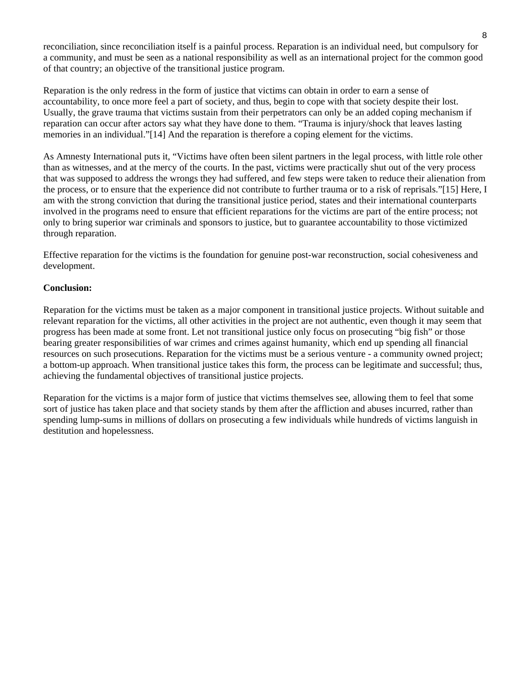reconciliation, since reconciliation itself is a painful process. Reparation is an individual need, but compulsory for a community, and must be seen as a national responsibility as well as an international project for the common good of that country; an objective of the transitional justice program.

Reparation is the only redress in the form of justice that victims can obtain in order to earn a sense of accountability, to once more feel a part of society, and thus, begin to cope with that society despite their lost. Usually, the grave trauma that victims sustain from their perpetrators can only be an added coping mechanism if reparation can occur after actors say what they have done to them. "Trauma is injury/shock that leaves lasting memories in an individual."[14] And the reparation is therefore a coping element for the victims.

As Amnesty International puts it, "Victims have often been silent partners in the legal process, with little role other than as witnesses, and at the mercy of the courts. In the past, victims were practically shut out of the very process that was supposed to address the wrongs they had suffered, and few steps were taken to reduce their alienation from the process, or to ensure that the experience did not contribute to further trauma or to a risk of reprisals."[15] Here, I am with the strong conviction that during the transitional justice period, states and their international counterparts involved in the programs need to ensure that efficient reparations for the victims are part of the entire process; not only to bring superior war criminals and sponsors to justice, but to guarantee accountability to those victimized through reparation.

Effective reparation for the victims is the foundation for genuine post-war reconstruction, social cohesiveness and development.

#### **Conclusion:**

Reparation for the victims must be taken as a major component in transitional justice projects. Without suitable and relevant reparation for the victims, all other activities in the project are not authentic, even though it may seem that progress has been made at some front. Let not transitional justice only focus on prosecuting "big fish" or those bearing greater responsibilities of war crimes and crimes against humanity, which end up spending all financial resources on such prosecutions. Reparation for the victims must be a serious venture - a community owned project; a bottom-up approach. When transitional justice takes this form, the process can be legitimate and successful; thus, achieving the fundamental objectives of transitional justice projects.

Reparation for the victims is a major form of justice that victims themselves see, allowing them to feel that some sort of justice has taken place and that society stands by them after the affliction and abuses incurred, rather than spending lump-sums in millions of dollars on prosecuting a few individuals while hundreds of victims languish in destitution and hopelessness.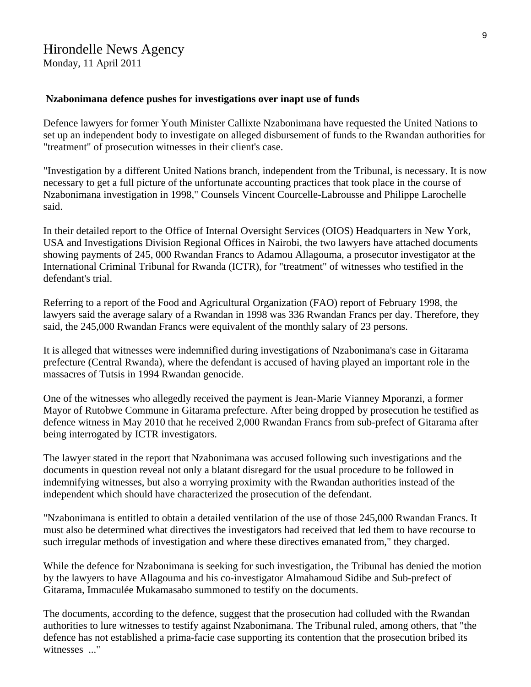# Hirondelle News Agency

Monday, 11 April 2011

### **Nzabonimana defence pushes for investigations over inapt use of funds**

Defence lawyers for former Youth Minister Callixte Nzabonimana have requested the United Nations to set up an independent body to investigate on alleged disbursement of funds to the Rwandan authorities for "treatment" of prosecution witnesses in their client's case.

"Investigation by a different United Nations branch, independent from the Tribunal, is necessary. It is now necessary to get a full picture of the unfortunate accounting practices that took place in the course of Nzabonimana investigation in 1998," Counsels Vincent Courcelle-Labrousse and Philippe Larochelle said.

In their detailed report to the Office of Internal Oversight Services (OIOS) Headquarters in New York, USA and Investigations Division Regional Offices in Nairobi, the two lawyers have attached documents showing payments of 245, 000 Rwandan Francs to Adamou Allagouma, a prosecutor investigator at the International Criminal Tribunal for Rwanda (ICTR), for "treatment" of witnesses who testified in the defendant's trial.

Referring to a report of the Food and Agricultural Organization (FAO) report of February 1998, the lawyers said the average salary of a Rwandan in 1998 was 336 Rwandan Francs per day. Therefore, they said, the 245,000 Rwandan Francs were equivalent of the monthly salary of 23 persons.

It is alleged that witnesses were indemnified during investigations of Nzabonimana's case in Gitarama prefecture (Central Rwanda), where the defendant is accused of having played an important role in the massacres of Tutsis in 1994 Rwandan genocide.

One of the witnesses who allegedly received the payment is Jean-Marie Vianney Mporanzi, a former Mayor of Rutobwe Commune in Gitarama prefecture. After being dropped by prosecution he testified as defence witness in May 2010 that he received 2,000 Rwandan Francs from sub-prefect of Gitarama after being interrogated by ICTR investigators.

The lawyer stated in the report that Nzabonimana was accused following such investigations and the documents in question reveal not only a blatant disregard for the usual procedure to be followed in indemnifying witnesses, but also a worrying proximity with the Rwandan authorities instead of the independent which should have characterized the prosecution of the defendant.

"Nzabonimana is entitled to obtain a detailed ventilation of the use of those 245,000 Rwandan Francs. It must also be determined what directives the investigators had received that led them to have recourse to such irregular methods of investigation and where these directives emanated from," they charged.

While the defence for Nzabonimana is seeking for such investigation, the Tribunal has denied the motion by the lawyers to have Allagouma and his co-investigator Almahamoud Sidibe and Sub-prefect of Gitarama, Immaculée Mukamasabo summoned to testify on the documents.

The documents, according to the defence, suggest that the prosecution had colluded with the Rwandan authorities to lure witnesses to testify against Nzabonimana. The Tribunal ruled, among others, that "the defence has not established a prima-facie case supporting its contention that the prosecution bribed its witnesses ..."